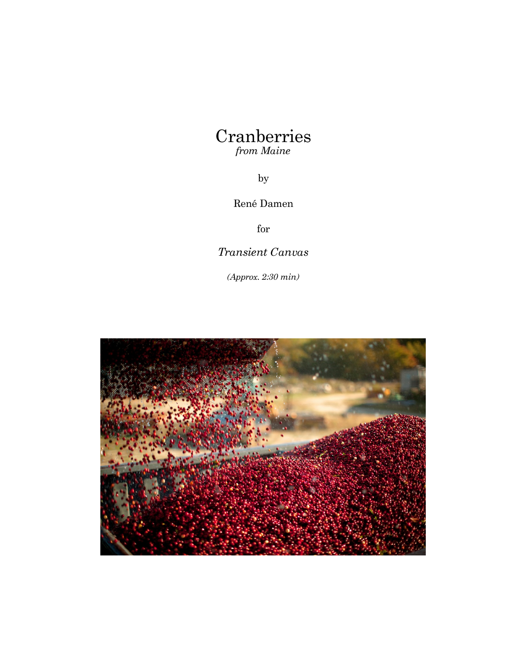## **Cranberries** *from Maine*

by

René Damen

for

*Transient Canvas*

*(Approx. 2:30 min)*

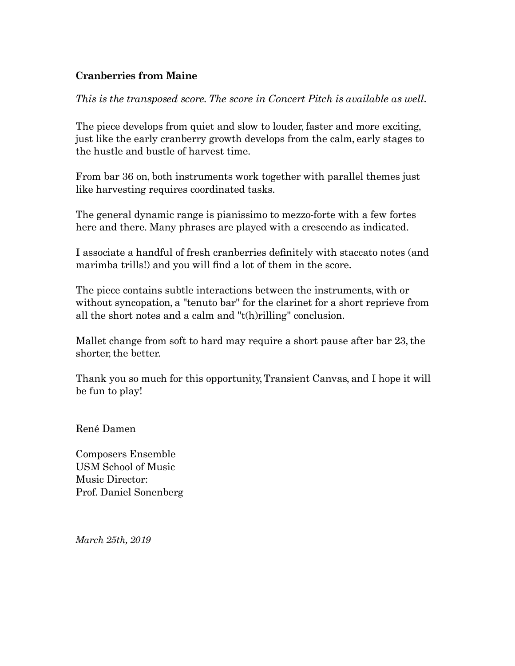## **Cranberries from Maine**

*This is the transposed score. The score in Concert Pitch is available as well.*

The piece develops from quiet and slow to louder, faster and more exciting, just like the early cranberry growth develops from the calm, early stages to the hustle and bustle of harvest time.

From bar 36 on, both instruments work together with parallel themes just like harvesting requires coordinated tasks.

The general dynamic range is pianissimo to mezzo-forte with a few fortes here and there. Many phrases are played with a crescendo as indicated.

I associate a handful of fresh cranberries definitely with staccato notes (and marimba trills!) and you will find a lot of them in the score.

The piece contains subtle interactions between the instruments, with or without syncopation, a "tenuto bar" for the clarinet for a short reprieve from all the short notes and a calm and "t(h)rilling" conclusion.

Mallet change from soft to hard may require a short pause after bar 23, the shorter, the better.

Thank you so much for this opportunity, Transient Canvas, and I hope it will be fun to play!

René Damen

Composers Ensemble USM School of Music Music Director: Prof. Daniel Sonenberg

*March 25th, 2019*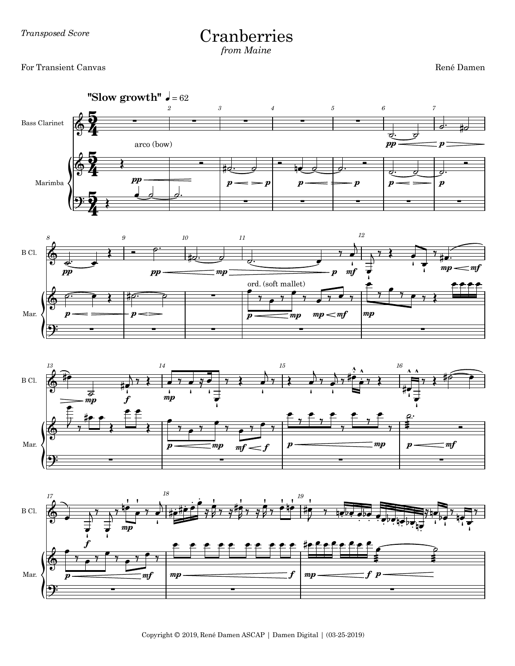*Transposed Score*

## **Cranberries** *from Maine*

## For Transient Canvas René Damen







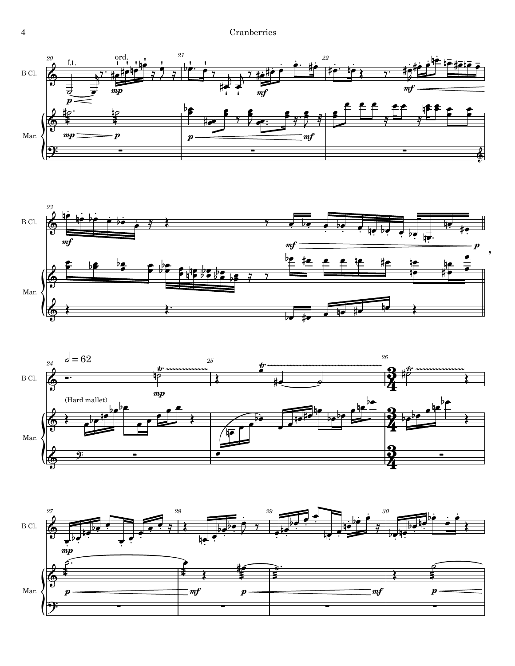